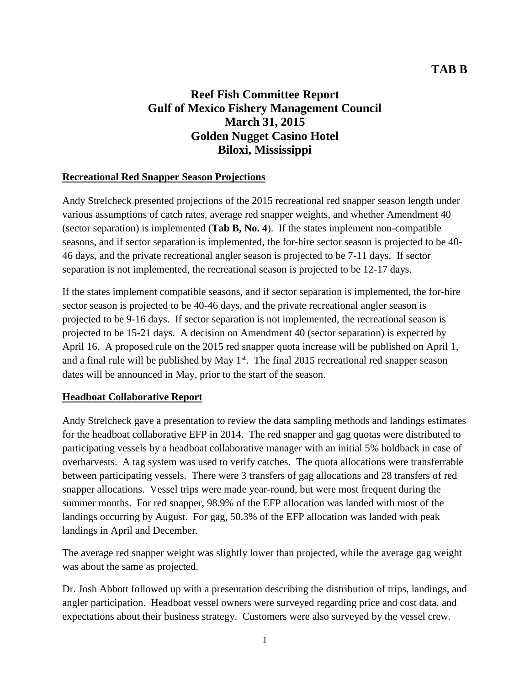# **Reef Fish Committee Report Gulf of Mexico Fishery Management Council March 31, 2015 Golden Nugget Casino Hotel Biloxi, Mississippi**

#### **Recreational Red Snapper Season Projections**

Andy Strelcheck presented projections of the 2015 recreational red snapper season length under various assumptions of catch rates, average red snapper weights, and whether Amendment 40 (sector separation) is implemented (**Tab B, No. 4**). If the states implement non-compatible seasons, and if sector separation is implemented, the for-hire sector season is projected to be 40- 46 days, and the private recreational angler season is projected to be 7-11 days. If sector separation is not implemented, the recreational season is projected to be 12-17 days.

If the states implement compatible seasons, and if sector separation is implemented, the for-hire sector season is projected to be 40-46 days, and the private recreational angler season is projected to be 9-16 days. If sector separation is not implemented, the recreational season is projected to be 15-21 days. A decision on Amendment 40 (sector separation) is expected by April 16. A proposed rule on the 2015 red snapper quota increase will be published on April 1, and a final rule will be published by May  $1<sup>st</sup>$ . The final 2015 recreational red snapper season dates will be announced in May, prior to the start of the season.

#### **Headboat Collaborative Report**

Andy Strelcheck gave a presentation to review the data sampling methods and landings estimates for the headboat collaborative EFP in 2014. The red snapper and gag quotas were distributed to participating vessels by a headboat collaborative manager with an initial 5% holdback in case of overharvests. A tag system was used to verify catches. The quota allocations were transferrable between participating vessels. There were 3 transfers of gag allocations and 28 transfers of red snapper allocations. Vessel trips were made year-round, but were most frequent during the summer months. For red snapper, 98.9% of the EFP allocation was landed with most of the landings occurring by August. For gag, 50.3% of the EFP allocation was landed with peak landings in April and December.

The average red snapper weight was slightly lower than projected, while the average gag weight was about the same as projected.

Dr. Josh Abbott followed up with a presentation describing the distribution of trips, landings, and angler participation. Headboat vessel owners were surveyed regarding price and cost data, and expectations about their business strategy. Customers were also surveyed by the vessel crew.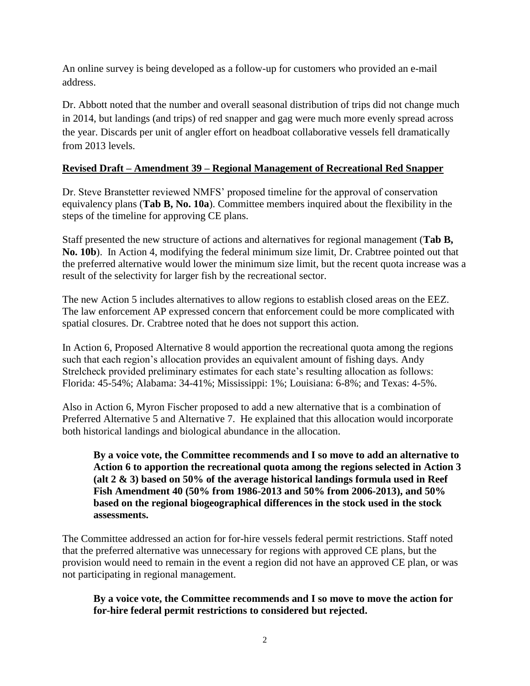An online survey is being developed as a follow-up for customers who provided an e-mail address.

Dr. Abbott noted that the number and overall seasonal distribution of trips did not change much in 2014, but landings (and trips) of red snapper and gag were much more evenly spread across the year. Discards per unit of angler effort on headboat collaborative vessels fell dramatically from 2013 levels.

# **Revised Draft – Amendment 39 – Regional Management of Recreational Red Snapper**

Dr. Steve Branstetter reviewed NMFS' proposed timeline for the approval of conservation equivalency plans (**Tab B, No. 10a**). Committee members inquired about the flexibility in the steps of the timeline for approving CE plans.

Staff presented the new structure of actions and alternatives for regional management (**Tab B, No. 10b**). In Action 4, modifying the federal minimum size limit, Dr. Crabtree pointed out that the preferred alternative would lower the minimum size limit, but the recent quota increase was a result of the selectivity for larger fish by the recreational sector.

The new Action 5 includes alternatives to allow regions to establish closed areas on the EEZ. The law enforcement AP expressed concern that enforcement could be more complicated with spatial closures. Dr. Crabtree noted that he does not support this action.

In Action 6, Proposed Alternative 8 would apportion the recreational quota among the regions such that each region's allocation provides an equivalent amount of fishing days. Andy Strelcheck provided preliminary estimates for each state's resulting allocation as follows: Florida: 45-54%; Alabama: 34-41%; Mississippi: 1%; Louisiana: 6-8%; and Texas: 4-5%.

Also in Action 6, Myron Fischer proposed to add a new alternative that is a combination of Preferred Alternative 5 and Alternative 7. He explained that this allocation would incorporate both historical landings and biological abundance in the allocation.

**By a voice vote, the Committee recommends and I so move to add an alternative to Action 6 to apportion the recreational quota among the regions selected in Action 3 (alt 2 & 3) based on 50% of the average historical landings formula used in Reef Fish Amendment 40 (50% from 1986-2013 and 50% from 2006-2013), and 50% based on the regional biogeographical differences in the stock used in the stock assessments.**

The Committee addressed an action for for-hire vessels federal permit restrictions. Staff noted that the preferred alternative was unnecessary for regions with approved CE plans, but the provision would need to remain in the event a region did not have an approved CE plan, or was not participating in regional management.

**By a voice vote, the Committee recommends and I so move to move the action for for-hire federal permit restrictions to considered but rejected.**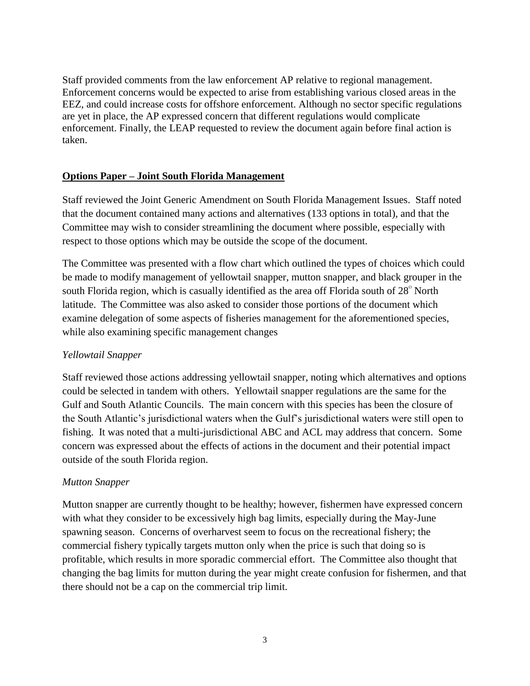Staff provided comments from the law enforcement AP relative to regional management. Enforcement concerns would be expected to arise from establishing various closed areas in the EEZ, and could increase costs for offshore enforcement. Although no sector specific regulations are yet in place, the AP expressed concern that different regulations would complicate enforcement. Finally, the LEAP requested to review the document again before final action is taken.

# **Options Paper – Joint South Florida Management**

Staff reviewed the Joint Generic Amendment on South Florida Management Issues. Staff noted that the document contained many actions and alternatives (133 options in total), and that the Committee may wish to consider streamlining the document where possible, especially with respect to those options which may be outside the scope of the document.

The Committee was presented with a flow chart which outlined the types of choices which could be made to modify management of yellowtail snapper, mutton snapper, and black grouper in the south Florida region, which is casually identified as the area off Florida south of  $28^{\circ}$  North latitude. The Committee was also asked to consider those portions of the document which examine delegation of some aspects of fisheries management for the aforementioned species, while also examining specific management changes

#### *Yellowtail Snapper*

Staff reviewed those actions addressing yellowtail snapper, noting which alternatives and options could be selected in tandem with others. Yellowtail snapper regulations are the same for the Gulf and South Atlantic Councils. The main concern with this species has been the closure of the South Atlantic's jurisdictional waters when the Gulf's jurisdictional waters were still open to fishing. It was noted that a multi-jurisdictional ABC and ACL may address that concern. Some concern was expressed about the effects of actions in the document and their potential impact outside of the south Florida region.

#### *Mutton Snapper*

Mutton snapper are currently thought to be healthy; however, fishermen have expressed concern with what they consider to be excessively high bag limits, especially during the May-June spawning season. Concerns of overharvest seem to focus on the recreational fishery; the commercial fishery typically targets mutton only when the price is such that doing so is profitable, which results in more sporadic commercial effort. The Committee also thought that changing the bag limits for mutton during the year might create confusion for fishermen, and that there should not be a cap on the commercial trip limit.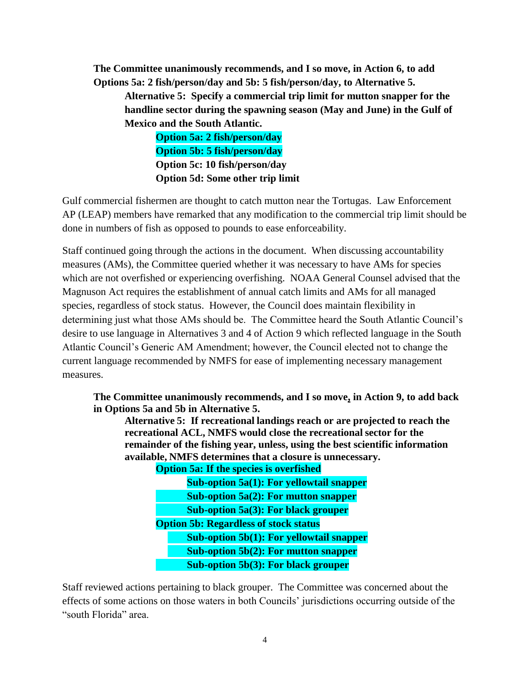**The Committee unanimously recommends, and I so move, in Action 6, to add Options 5a: 2 fish/person/day and 5b: 5 fish/person/day, to Alternative 5.**

**Alternative 5: Specify a commercial trip limit for mutton snapper for the handline sector during the spawning season (May and June) in the Gulf of Mexico and the South Atlantic.**

> **Option 5a: 2 fish/person/day Option 5b: 5 fish/person/day Option 5c: 10 fish/person/day Option 5d: Some other trip limit**

Gulf commercial fishermen are thought to catch mutton near the Tortugas. Law Enforcement AP (LEAP) members have remarked that any modification to the commercial trip limit should be done in numbers of fish as opposed to pounds to ease enforceability.

Staff continued going through the actions in the document. When discussing accountability measures (AMs), the Committee queried whether it was necessary to have AMs for species which are not overfished or experiencing overfishing. NOAA General Counsel advised that the Magnuson Act requires the establishment of annual catch limits and AMs for all managed species, regardless of stock status. However, the Council does maintain flexibility in determining just what those AMs should be. The Committee heard the South Atlantic Council's desire to use language in Alternatives 3 and 4 of Action 9 which reflected language in the South Atlantic Council's Generic AM Amendment; however, the Council elected not to change the current language recommended by NMFS for ease of implementing necessary management measures.

**The Committee unanimously recommends, and I so move, in Action 9, to add back in Options 5a and 5b in Alternative 5.**

**Alternative 5: If recreational landings reach or are projected to reach the recreational ACL, NMFS would close the recreational sector for the remainder of the fishing year, unless, using the best scientific information available, NMFS determines that a closure is unnecessary.**

**Option 5a: If the species is overfished**

| <b>Sub-option 5a(1): For yellowtail snapper</b> |  |
|-------------------------------------------------|--|
| Sub-option $5a(2)$ : For mutton snapper         |  |
| Sub-option $5a(3)$ : For black grouper          |  |
| <b>Option 5b: Regardless of stock status</b>    |  |
| <b>Sub-option 5b(1): For yellowtail snapper</b> |  |
| Sub-option $5b(2)$ : For mutton snapper         |  |
| <b>Sub-option 5b(3): For black grouper</b>      |  |

Staff reviewed actions pertaining to black grouper. The Committee was concerned about the effects of some actions on those waters in both Councils' jurisdictions occurring outside of the "south Florida" area.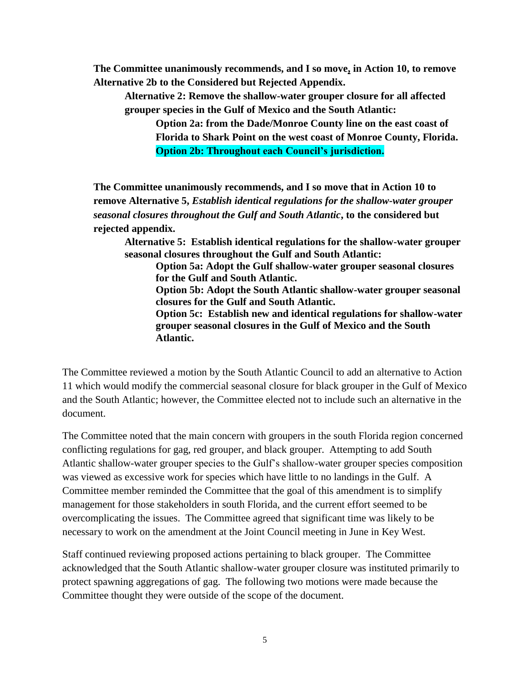**The Committee unanimously recommends, and I so move, in Action 10, to remove Alternative 2b to the Considered but Rejected Appendix.**

**Alternative 2: Remove the shallow-water grouper closure for all affected grouper species in the Gulf of Mexico and the South Atlantic:**

**Option 2a: from the Dade/Monroe County line on the east coast of Florida to Shark Point on the west coast of Monroe County, Florida. Option 2b: Throughout each Council's jurisdiction.**

**The Committee unanimously recommends, and I so move that in Action 10 to remove Alternative 5,** *Establish identical regulations for the shallow-water grouper seasonal closures throughout the Gulf and South Atlantic***, to the considered but rejected appendix.**

**Alternative 5: Establish identical regulations for the shallow-water grouper seasonal closures throughout the Gulf and South Atlantic:**

**Option 5a: Adopt the Gulf shallow-water grouper seasonal closures for the Gulf and South Atlantic.**

**Option 5b: Adopt the South Atlantic shallow-water grouper seasonal closures for the Gulf and South Atlantic.**

**Option 5c: Establish new and identical regulations for shallow-water grouper seasonal closures in the Gulf of Mexico and the South Atlantic.**

The Committee reviewed a motion by the South Atlantic Council to add an alternative to Action 11 which would modify the commercial seasonal closure for black grouper in the Gulf of Mexico and the South Atlantic; however, the Committee elected not to include such an alternative in the document.

The Committee noted that the main concern with groupers in the south Florida region concerned conflicting regulations for gag, red grouper, and black grouper. Attempting to add South Atlantic shallow-water grouper species to the Gulf's shallow-water grouper species composition was viewed as excessive work for species which have little to no landings in the Gulf. A Committee member reminded the Committee that the goal of this amendment is to simplify management for those stakeholders in south Florida, and the current effort seemed to be overcomplicating the issues. The Committee agreed that significant time was likely to be necessary to work on the amendment at the Joint Council meeting in June in Key West.

Staff continued reviewing proposed actions pertaining to black grouper. The Committee acknowledged that the South Atlantic shallow-water grouper closure was instituted primarily to protect spawning aggregations of gag. The following two motions were made because the Committee thought they were outside of the scope of the document.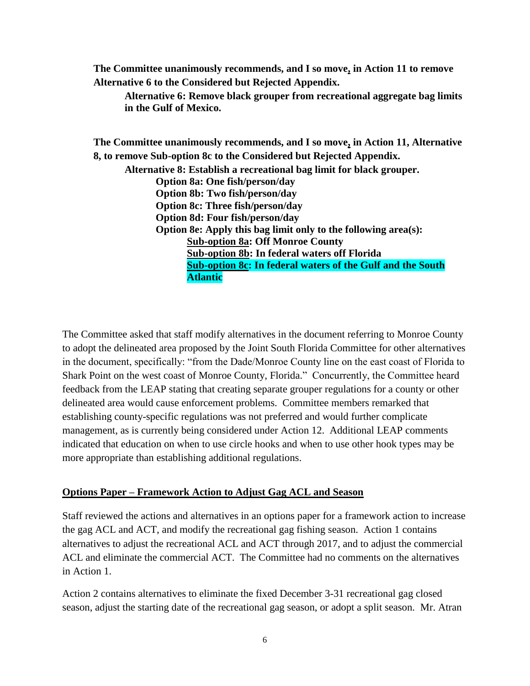**The Committee unanimously recommends, and I so move, in Action 11 to remove Alternative 6 to the Considered but Rejected Appendix.**

**Alternative 6: Remove black grouper from recreational aggregate bag limits in the Gulf of Mexico.**

**The Committee unanimously recommends, and I so move, in Action 11, Alternative 8, to remove Sub-option 8c to the Considered but Rejected Appendix.**

**Alternative 8: Establish a recreational bag limit for black grouper. Option 8a: One fish/person/day Option 8b: Two fish/person/day Option 8c: Three fish/person/day Option 8d: Four fish/person/day Option 8e: Apply this bag limit only to the following area(s): Sub-option 8a: Off Monroe County Sub-option 8b: In federal waters off Florida Sub-option 8c: In federal waters of the Gulf and the South Atlantic**

The Committee asked that staff modify alternatives in the document referring to Monroe County to adopt the delineated area proposed by the Joint South Florida Committee for other alternatives in the document, specifically: "from the Dade/Monroe County line on the east coast of Florida to Shark Point on the west coast of Monroe County, Florida." Concurrently, the Committee heard feedback from the LEAP stating that creating separate grouper regulations for a county or other delineated area would cause enforcement problems. Committee members remarked that establishing county-specific regulations was not preferred and would further complicate management, as is currently being considered under Action 12. Additional LEAP comments indicated that education on when to use circle hooks and when to use other hook types may be more appropriate than establishing additional regulations.

#### **Options Paper – Framework Action to Adjust Gag ACL and Season**

Staff reviewed the actions and alternatives in an options paper for a framework action to increase the gag ACL and ACT, and modify the recreational gag fishing season. Action 1 contains alternatives to adjust the recreational ACL and ACT through 2017, and to adjust the commercial ACL and eliminate the commercial ACT. The Committee had no comments on the alternatives in Action 1.

Action 2 contains alternatives to eliminate the fixed December 3-31 recreational gag closed season, adjust the starting date of the recreational gag season, or adopt a split season. Mr. Atran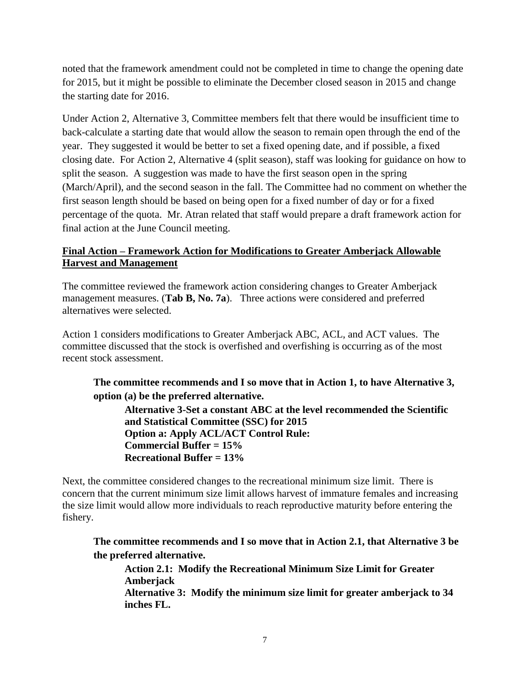noted that the framework amendment could not be completed in time to change the opening date for 2015, but it might be possible to eliminate the December closed season in 2015 and change the starting date for 2016.

Under Action 2, Alternative 3, Committee members felt that there would be insufficient time to back-calculate a starting date that would allow the season to remain open through the end of the year. They suggested it would be better to set a fixed opening date, and if possible, a fixed closing date. For Action 2, Alternative 4 (split season), staff was looking for guidance on how to split the season. A suggestion was made to have the first season open in the spring (March/April), and the second season in the fall. The Committee had no comment on whether the first season length should be based on being open for a fixed number of day or for a fixed percentage of the quota. Mr. Atran related that staff would prepare a draft framework action for final action at the June Council meeting.

# **Final Action – Framework Action for Modifications to Greater Amberjack Allowable Harvest and Management**

The committee reviewed the framework action considering changes to Greater Amberjack management measures. (**Tab B, No. 7a**). Three actions were considered and preferred alternatives were selected.

Action 1 considers modifications to Greater Amberjack ABC, ACL, and ACT values. The committee discussed that the stock is overfished and overfishing is occurring as of the most recent stock assessment.

**The committee recommends and I so move that in Action 1, to have Alternative 3, option (a) be the preferred alternative.**

**Alternative 3-Set a constant ABC at the level recommended the Scientific and Statistical Committee (SSC) for 2015 Option a: Apply ACL/ACT Control Rule: Commercial Buffer = 15% Recreational Buffer = 13%**

Next, the committee considered changes to the recreational minimum size limit. There is concern that the current minimum size limit allows harvest of immature females and increasing the size limit would allow more individuals to reach reproductive maturity before entering the fishery.

**The committee recommends and I so move that in Action 2.1, that Alternative 3 be the preferred alternative.**

**Action 2.1: Modify the Recreational Minimum Size Limit for Greater Amberjack Alternative 3: Modify the minimum size limit for greater amberjack to 34 inches FL.**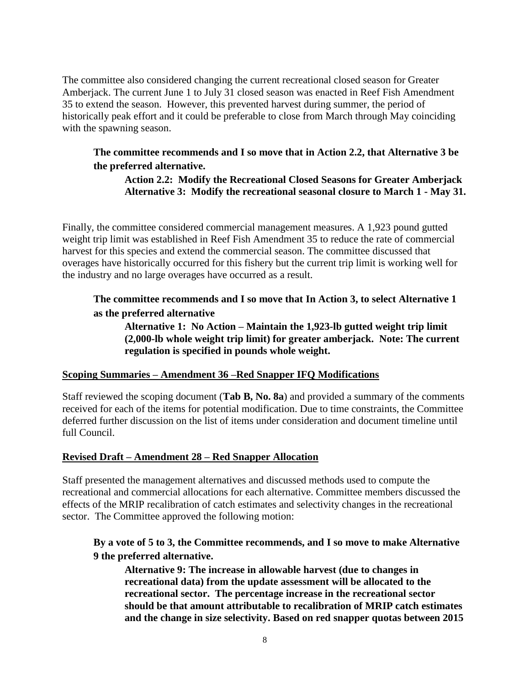The committee also considered changing the current recreational closed season for Greater Amberjack. The current June 1 to July 31 closed season was enacted in Reef Fish Amendment 35 to extend the season. However, this prevented harvest during summer, the period of historically peak effort and it could be preferable to close from March through May coinciding with the spawning season.

# **The committee recommends and I so move that in Action 2.2, that Alternative 3 be the preferred alternative.**

#### **Action 2.2: Modify the Recreational Closed Seasons for Greater Amberjack Alternative 3: Modify the recreational seasonal closure to March 1 - May 31.**

Finally, the committee considered commercial management measures. A 1,923 pound gutted weight trip limit was established in Reef Fish Amendment 35 to reduce the rate of commercial harvest for this species and extend the commercial season. The committee discussed that overages have historically occurred for this fishery but the current trip limit is working well for the industry and no large overages have occurred as a result.

# **The committee recommends and I so move that In Action 3, to select Alternative 1 as the preferred alternative**

**Alternative 1: No Action – Maintain the 1,923-lb gutted weight trip limit (2,000-lb whole weight trip limit) for greater amberjack. Note: The current regulation is specified in pounds whole weight.**

# **Scoping Summaries – Amendment 36 –Red Snapper IFQ Modifications**

Staff reviewed the scoping document (**Tab B, No. 8a**) and provided a summary of the comments received for each of the items for potential modification. Due to time constraints, the Committee deferred further discussion on the list of items under consideration and document timeline until full Council.

#### **Revised Draft – Amendment 28 – Red Snapper Allocation**

Staff presented the management alternatives and discussed methods used to compute the recreational and commercial allocations for each alternative. Committee members discussed the effects of the MRIP recalibration of catch estimates and selectivity changes in the recreational sector. The Committee approved the following motion:

# **By a vote of 5 to 3, the Committee recommends, and I so move to make Alternative 9 the preferred alternative.**

**Alternative 9: The increase in allowable harvest (due to changes in recreational data) from the update assessment will be allocated to the recreational sector. The percentage increase in the recreational sector should be that amount attributable to recalibration of MRIP catch estimates and the change in size selectivity. Based on red snapper quotas between 2015**